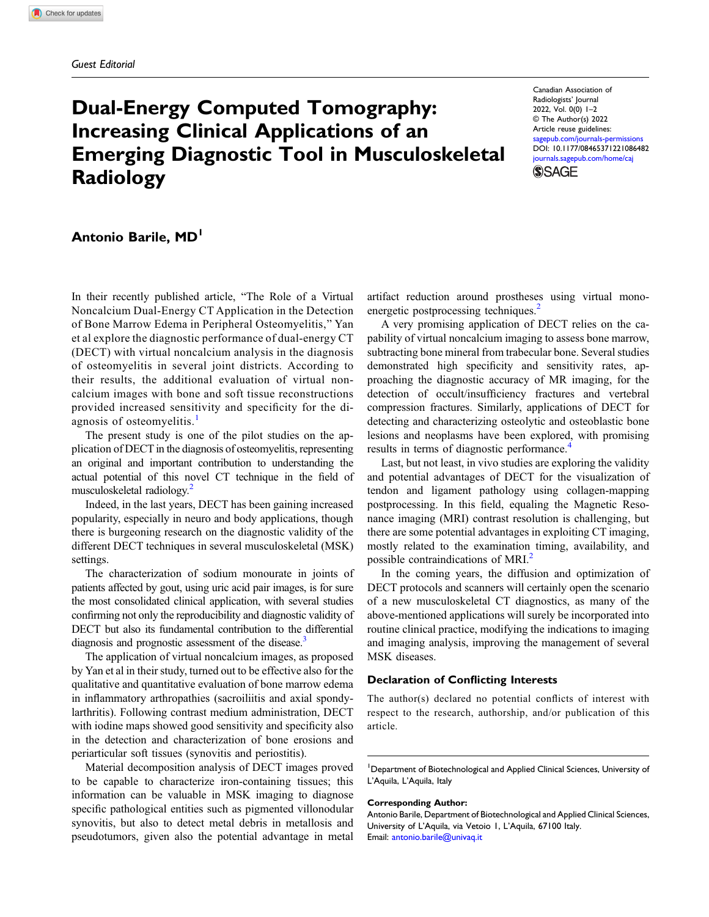# Dual-Energy Computed Tomography: Increasing Clinical Applications of an Emerging Diagnostic Tool in Musculoskeletal Radiology

Canadian Association of Radiologists' Journal 2022, Vol. 0(0) 1–2 © The Author(s) 2022 Article reuse guidelines: [sagepub.com/journals-permissions](https://us.sagepub.com/en-us/journals-permissions) DOI: [10.1177/08465371221086482](https://doi.org/10.1177/08465371221086482) [journals.sagepub.com/home/caj](https://journals.sagepub.com/home/caj) **SSAGE** 

# Antonio Barile, MD<sup>1</sup>

In their recently published article, "The Role of a Virtual Noncalcium Dual-Energy CT Application in the Detection of Bone Marrow Edema in Peripheral Osteomyelitis," Yan et al explore the diagnostic performance of dual-energy CT (DECT) with virtual noncalcium analysis in the diagnosis of osteomyelitis in several joint districts. According to their results, the additional evaluation of virtual noncalcium images with bone and soft tissue reconstructions provided increased sensitivity and specificity for the di-agnosis of osteomyelitis.<sup>[1](#page-1-0)</sup>

The present study is one of the pilot studies on the application of DECT in the diagnosis of osteomyelitis, representing an original and important contribution to understanding the actual potential of this novel CT technique in the field of musculoskeletal radiology.<sup>[2](#page-1-1)</sup>

Indeed, in the last years, DECT has been gaining increased popularity, especially in neuro and body applications, though there is burgeoning research on the diagnostic validity of the different DECT techniques in several musculoskeletal (MSK) settings.

The characterization of sodium monourate in joints of patients affected by gout, using uric acid pair images, is for sure the most consolidated clinical application, with several studies confirming not only the reproducibility and diagnostic validity of DECT but also its fundamental contribution to the differential diagnosis and prognostic assessment of the disease.<sup>3</sup>

The application of virtual noncalcium images, as proposed by Yan et al in their study, turned out to be effective also for the qualitative and quantitative evaluation of bone marrow edema in inflammatory arthropathies (sacroiliitis and axial spondylarthritis). Following contrast medium administration, DECT with iodine maps showed good sensitivity and specificity also in the detection and characterization of bone erosions and periarticular soft tissues (synovitis and periostitis).

Material decomposition analysis of DECT images proved to be capable to characterize iron-containing tissues; this information can be valuable in MSK imaging to diagnose specific pathological entities such as pigmented villonodular synovitis, but also to detect metal debris in metallosis and pseudotumors, given also the potential advantage in metal

artifact reduction around prostheses using virtual mono-energetic postprocessing techniques.<sup>[2](#page-1-1)</sup>

A very promising application of DECT relies on the capability of virtual noncalcium imaging to assess bone marrow, subtracting bone mineral from trabecular bone. Several studies demonstrated high specificity and sensitivity rates, approaching the diagnostic accuracy of MR imaging, for the detection of occult/insufficiency fractures and vertebral compression fractures. Similarly, applications of DECT for detecting and characterizing osteolytic and osteoblastic bone lesions and neoplasms have been explored, with promising results in terms of diagnostic performance.<sup>[4](#page-1-3)</sup>

Last, but not least, in vivo studies are exploring the validity and potential advantages of DECT for the visualization of tendon and ligament pathology using collagen-mapping postprocessing. In this field, equaling the Magnetic Resonance imaging (MRI) contrast resolution is challenging, but there are some potential advantages in exploiting CT imaging, mostly related to the examination timing, availability, and possible contraindications of MRI.<sup>2</sup>

In the coming years, the diffusion and optimization of DECT protocols and scanners will certainly open the scenario of a new musculoskeletal CT diagnostics, as many of the above-mentioned applications will surely be incorporated into routine clinical practice, modifying the indications to imaging and imaging analysis, improving the management of several MSK diseases.

## Declaration of Conflicting Interests

The author(s) declared no potential conflicts of interest with respect to the research, authorship, and/or publication of this article.

<sup>1</sup>Department of Biotechnological and Applied Clinical Sciences, University of L'Aquila, L'Aquila, Italy

#### Corresponding Author:

Antonio Barile, Department of Biotechnological and Applied Clinical Sciences, University of L'Aquila, via Vetoio 1, L'Aquila, 67100 Italy. Email: [antonio.barile@univaq.it](mailto:antonio.barile@univaq.it)